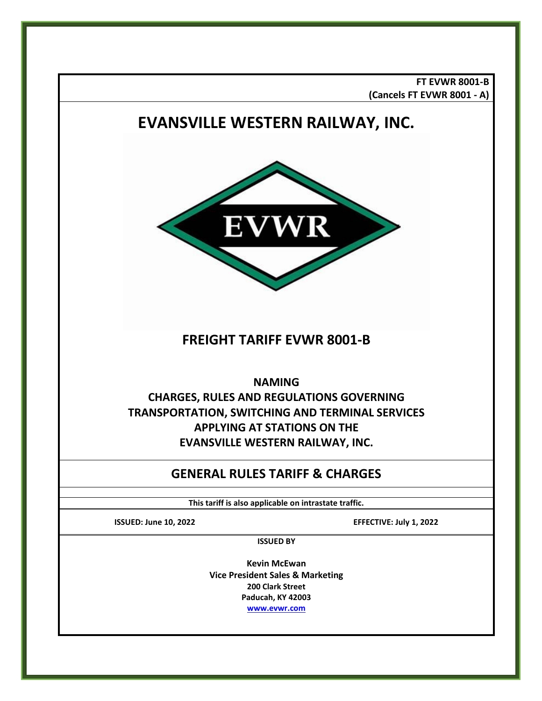**FT EVWR 8001-B (Cancels FT EVWR 8001 - A)**

# **EVANSVILLE WESTERN RAILWAY, INC.**  WR Ы **FREIGHT TARIFF EVWR 8001-B NAMING CHARGES, RULES AND REGULATIONS GOVERNING TRANSPORTATION, SWITCHING AND TERMINAL SERVICES APPLYING AT STATIONS ON THE EVANSVILLE WESTERN RAILWAY, INC. GENERAL RULES TARIFF & CHARGES This tariff is also applicable on intrastate traffic. ISSUED: June 10, 2022 EFFECTIVE: July 1, 2022 ISSUED BY Kevin McEwan Vice President Sales & Marketing 200 Clark Street Paducah, KY 42003 [www.evwr.com](http://www.evwr.com/)**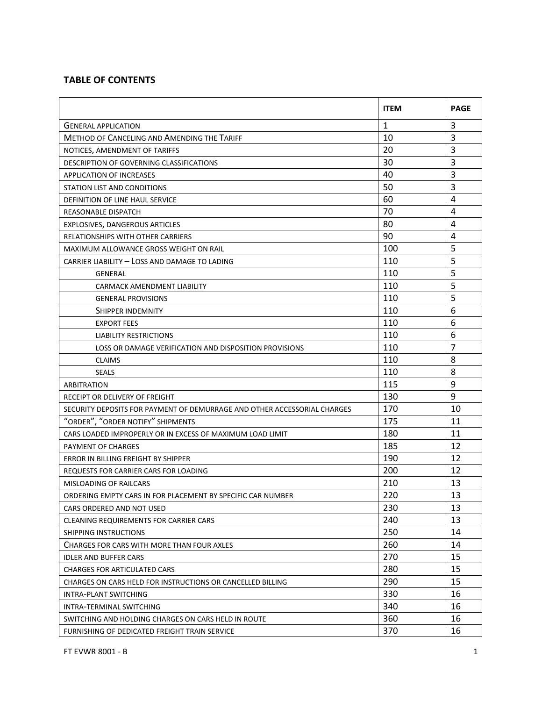# **TABLE OF CONTENTS**

|                                                                          | <b>ITEM</b>  | <b>PAGE</b>    |
|--------------------------------------------------------------------------|--------------|----------------|
| <b>GENERAL APPLICATION</b>                                               | $\mathbf{1}$ | 3              |
| <b>METHOD OF CANCELING AND AMENDING THE TARIFF</b>                       | 10           | 3              |
| NOTICES, AMENDMENT OF TARIFFS                                            | 20           | 3              |
| DESCRIPTION OF GOVERNING CLASSIFICATIONS                                 | 30           | $\overline{3}$ |
| <b>APPLICATION OF INCREASES</b>                                          | 40           | 3              |
| STATION LIST AND CONDITIONS                                              | 50           | 3              |
| DEFINITION OF LINE HAUL SERVICE                                          | 60           | 4              |
| REASONABLE DISPATCH                                                      | 70           | 4              |
| EXPLOSIVES, DANGEROUS ARTICLES                                           | 80           | 4              |
| RELATIONSHIPS WITH OTHER CARRIERS                                        | 90           | 4              |
| MAXIMUM ALLOWANCE GROSS WEIGHT ON RAIL                                   | 100          | 5              |
| CARRIER LIABILITY - LOSS AND DAMAGE TO LADING                            | 110          | 5              |
| GENERAL                                                                  | 110          | 5              |
| CARMACK AMENDMENT LIABILITY                                              | 110          | 5              |
| <b>GENERAL PROVISIONS</b>                                                | 110          | 5              |
| SHIPPER INDEMNITY                                                        | 110          | 6              |
| <b>EXPORT FEES</b>                                                       | 110          | 6              |
| <b>LIABILITY RESTRICTIONS</b>                                            | 110          | 6              |
| LOSS OR DAMAGE VERIFICATION AND DISPOSITION PROVISIONS                   | 110          | $\overline{7}$ |
| <b>CLAIMS</b>                                                            | 110          | 8              |
| <b>SEALS</b>                                                             | 110          | 8              |
| ARBITRATION                                                              | 115          | 9              |
| RECEIPT OR DELIVERY OF FREIGHT                                           | 130          | 9              |
| SECURITY DEPOSITS FOR PAYMENT OF DEMURRAGE AND OTHER ACCESSORIAL CHARGES | 170          | 10             |
| "ORDER", "ORDER NOTIFY" SHIPMENTS                                        | 175          | 11             |
| CARS LOADED IMPROPERLY OR IN EXCESS OF MAXIMUM LOAD LIMIT                | 180          | 11             |
| PAYMENT OF CHARGES                                                       | 185          | 12             |
| ERROR IN BILLING FREIGHT BY SHIPPER                                      | 190          | 12             |
| REQUESTS FOR CARRIER CARS FOR LOADING                                    | 200          | 12             |
| <b>MISLOADING OF RAILCARS</b>                                            | 210          | 13             |
| ORDERING EMPTY CARS IN FOR PLACEMENT BY SPECIFIC CAR NUMBER              | 220          | 13             |
| CARS ORDERED AND NOT USED                                                | 230          | 13             |
| CLEANING REQUIREMENTS FOR CARRIER CARS                                   | 240          | 13             |
| SHIPPING INSTRUCTIONS                                                    | 250          | 14             |
| CHARGES FOR CARS WITH MORE THAN FOUR AXLES                               | 260          | 14             |
| <b>IDLER AND BUFFER CARS</b>                                             | 270          | 15             |
| <b>CHARGES FOR ARTICULATED CARS</b>                                      | 280          | 15             |
| CHARGES ON CARS HELD FOR INSTRUCTIONS OR CANCELLED BILLING               | 290          | 15             |
| <b>INTRA-PLANT SWITCHING</b>                                             | 330          | 16             |
| INTRA-TERMINAL SWITCHING                                                 | 340          | 16             |
| SWITCHING AND HOLDING CHARGES ON CARS HELD IN ROUTE                      | 360          | 16             |
| FURNISHING OF DEDICATED FREIGHT TRAIN SERVICE                            | 370          | 16             |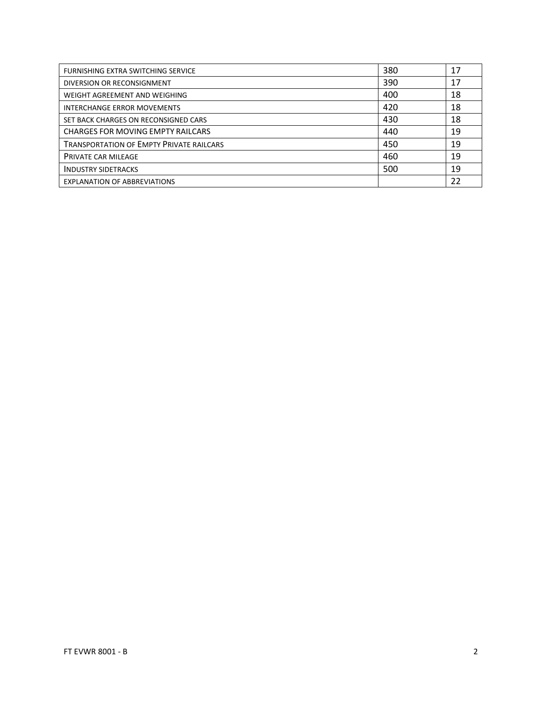| FURNISHING EXTRA SWITCHING SERVICE              | 380 | 17 |
|-------------------------------------------------|-----|----|
| DIVERSION OR RECONSIGNMENT                      | 390 | 17 |
| WEIGHT AGREEMENT AND WEIGHING                   | 400 | 18 |
| <b>INTERCHANGE ERROR MOVEMENTS</b>              | 420 | 18 |
| SET BACK CHARGES ON RECONSIGNED CARS            | 430 | 18 |
| <b>CHARGES FOR MOVING EMPTY RAILCARS</b>        | 440 | 19 |
| <b>TRANSPORTATION OF EMPTY PRIVATE RAILCARS</b> | 450 | 19 |
| <b>PRIVATE CAR MILEAGE</b>                      | 460 | 19 |
| <b>INDUSTRY SIDETRACKS</b>                      | 500 | 19 |
| <b>EXPLANATION OF ABBREVIATIONS</b>             |     | 22 |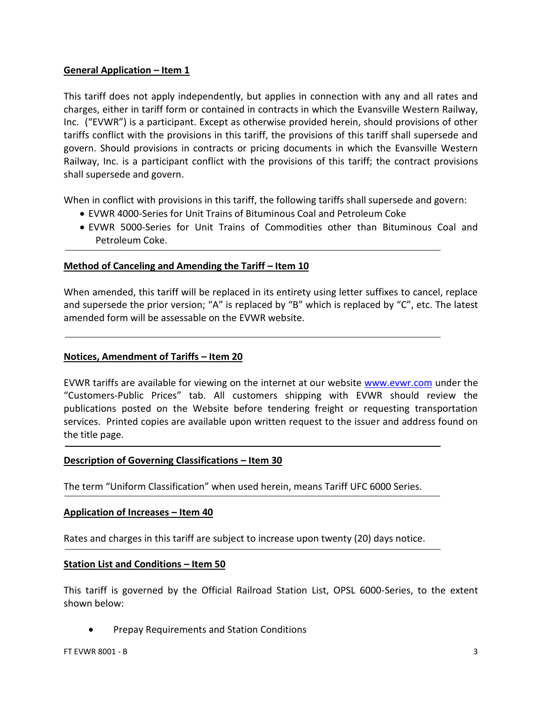# **General Application – Item 1**

This tariff does not apply independently, but applies in connection with any and all rates and charges, either in tariff form or contained in contracts in which the Evansville Western Railway, Inc. ("EVWR") is a participant. Except as otherwise provided herein, should provisions of other tariffs conflict with the provisions in this tariff, the provisions of this tariff shall supersede and govern. Should provisions in contracts or pricing documents in which the Evansville Western Railway, Inc. is a participant conflict with the provisions of this tariff; the contract provisions shall supersede and govern.

When in conflict with provisions in this tariff, the following tariffs shall supersede and govern:

- EVWR 4000-Series for Unit Trains of Bituminous Coal and Petroleum Coke
- EVWR 5000-Series for Unit Trains of Commodities other than Bituminous Coal and Petroleum Coke.

# **Method of Canceling and Amending the Tariff – Item 10**

When amended, this tariff will be replaced in its entirety using letter suffixes to cancel, replace and supersede the prior version; "A" is replaced by "B" which is replaced by "C", etc. The latest amended form will be assessable on the EVWR website.

# **Notices, Amendment of Tariffs – Item 20**

EVWR tariffs are available for viewing on the internet at our website [www.evwr.com](http://www.evwr.com/) under the "Customers-Public Prices" tab. All customers shipping with EVWR should review the publications posted on the Website before tendering freight or requesting transportation services. Printed copies are available upon written request to the issuer and address found on the title page.

# **Description of Governing Classifications – Item 30**

The term "Uniform Classification" when used herein, means Tariff UFC 6000 Series.

# **Application of Increases – Item 40**

Rates and charges in this tariff are subject to increase upon twenty (20) days notice.

# **Station List and Conditions – Item 50**

This tariff is governed by the Official Railroad Station List, OPSL 6000-Series, to the extent shown below:

• Prepay Requirements and Station Conditions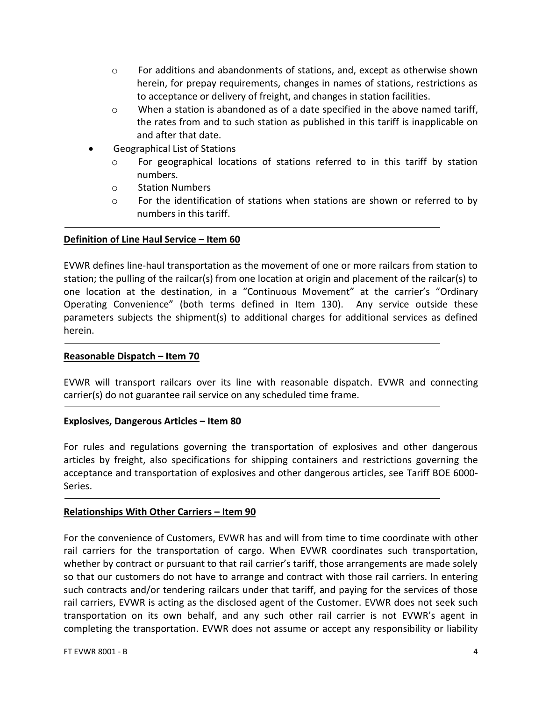- o For additions and abandonments of stations, and, except as otherwise shown herein, for prepay requirements, changes in names of stations, restrictions as to acceptance or delivery of freight, and changes in station facilities.
- $\circ$  When a station is abandoned as of a date specified in the above named tariff, the rates from and to such station as published in this tariff is inapplicable on and after that date.
- Geographical List of Stations
	- $\circ$  For geographical locations of stations referred to in this tariff by station numbers.
	- o Station Numbers
	- $\circ$  For the identification of stations when stations are shown or referred to by numbers in this tariff.

#### **Definition of Line Haul Service – Item 60**

EVWR defines line-haul transportation as the movement of one or more railcars from station to station; the pulling of the railcar(s) from one location at origin and placement of the railcar(s) to one location at the destination, in a "Continuous Movement" at the carrier's "Ordinary Operating Convenience" (both terms defined in Item 130). Any service outside these parameters subjects the shipment(s) to additional charges for additional services as defined herein.

#### **Reasonable Dispatch – Item 70**

EVWR will transport railcars over its line with reasonable dispatch. EVWR and connecting carrier(s) do not guarantee rail service on any scheduled time frame.

#### **Explosives, Dangerous Articles – Item 80**

For rules and regulations governing the transportation of explosives and other dangerous articles by freight, also specifications for shipping containers and restrictions governing the acceptance and transportation of explosives and other dangerous articles, see Tariff BOE 6000- Series.

#### **Relationships With Other Carriers – Item 90**

For the convenience of Customers, EVWR has and will from time to time coordinate with other rail carriers for the transportation of cargo. When EVWR coordinates such transportation, whether by contract or pursuant to that rail carrier's tariff, those arrangements are made solely so that our customers do not have to arrange and contract with those rail carriers. In entering such contracts and/or tendering railcars under that tariff, and paying for the services of those rail carriers, EVWR is acting as the disclosed agent of the Customer. EVWR does not seek such transportation on its own behalf, and any such other rail carrier is not EVWR's agent in completing the transportation. EVWR does not assume or accept any responsibility or liability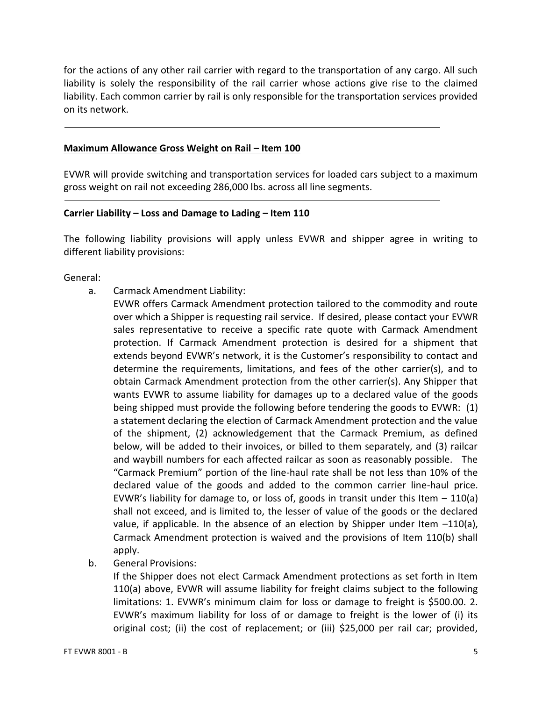for the actions of any other rail carrier with regard to the transportation of any cargo. All such liability is solely the responsibility of the rail carrier whose actions give rise to the claimed liability. Each common carrier by rail is only responsible for the transportation services provided on its network.

#### **Maximum Allowance Gross Weight on Rail – Item 100**

EVWR will provide switching and transportation services for loaded cars subject to a maximum gross weight on rail not exceeding 286,000 lbs. across all line segments.

#### **Carrier Liability – Loss and Damage to Lading – Item 110**

The following liability provisions will apply unless EVWR and shipper agree in writing to different liability provisions:

General:

- a. Carmack Amendment Liability:
	- EVWR offers Carmack Amendment protection tailored to the commodity and route over which a Shipper is requesting rail service. If desired, please contact your EVWR sales representative to receive a specific rate quote with Carmack Amendment protection. If Carmack Amendment protection is desired for a shipment that extends beyond EVWR's network, it is the Customer's responsibility to contact and determine the requirements, limitations, and fees of the other carrier(s), and to obtain Carmack Amendment protection from the other carrier(s). Any Shipper that wants EVWR to assume liability for damages up to a declared value of the goods being shipped must provide the following before tendering the goods to EVWR: (1) a statement declaring the election of Carmack Amendment protection and the value of the shipment, (2) acknowledgement that the Carmack Premium, as defined below, will be added to their invoices, or billed to them separately, and (3) railcar and waybill numbers for each affected railcar as soon as reasonably possible. The "Carmack Premium" portion of the line-haul rate shall be not less than 10% of the declared value of the goods and added to the common carrier line-haul price. EVWR's liability for damage to, or loss of, goods in transit under this Item  $-110(a)$ shall not exceed, and is limited to, the lesser of value of the goods or the declared value, if applicable. In the absence of an election by Shipper under Item  $-110(a)$ , Carmack Amendment protection is waived and the provisions of Item 110(b) shall apply.
- b. General Provisions:

If the Shipper does not elect Carmack Amendment protections as set forth in Item 110(a) above, EVWR will assume liability for freight claims subject to the following limitations: 1. EVWR's minimum claim for loss or damage to freight is \$500.00. 2. EVWR's maximum liability for loss of or damage to freight is the lower of (i) its original cost; (ii) the cost of replacement; or (iii) \$25,000 per rail car; provided,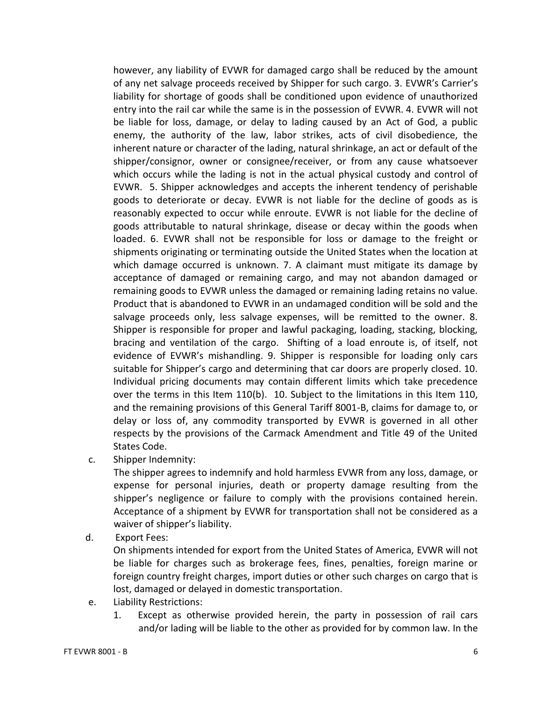however, any liability of EVWR for damaged cargo shall be reduced by the amount of any net salvage proceeds received by Shipper for such cargo. 3. EVWR's Carrier's liability for shortage of goods shall be conditioned upon evidence of unauthorized entry into the rail car while the same is in the possession of EVWR. 4. EVWR will not be liable for loss, damage, or delay to lading caused by an Act of God, a public enemy, the authority of the law, labor strikes, acts of civil disobedience, the inherent nature or character of the lading, natural shrinkage, an act or default of the shipper/consignor, owner or consignee/receiver, or from any cause whatsoever which occurs while the lading is not in the actual physical custody and control of EVWR. 5. Shipper acknowledges and accepts the inherent tendency of perishable goods to deteriorate or decay. EVWR is not liable for the decline of goods as is reasonably expected to occur while enroute. EVWR is not liable for the decline of goods attributable to natural shrinkage, disease or decay within the goods when loaded. 6. EVWR shall not be responsible for loss or damage to the freight or shipments originating or terminating outside the United States when the location at which damage occurred is unknown. 7. A claimant must mitigate its damage by acceptance of damaged or remaining cargo, and may not abandon damaged or remaining goods to EVWR unless the damaged or remaining lading retains no value. Product that is abandoned to EVWR in an undamaged condition will be sold and the salvage proceeds only, less salvage expenses, will be remitted to the owner. 8. Shipper is responsible for proper and lawful packaging, loading, stacking, blocking, bracing and ventilation of the cargo. Shifting of a load enroute is, of itself, not evidence of EVWR's mishandling. 9. Shipper is responsible for loading only cars suitable for Shipper's cargo and determining that car doors are properly closed. 10. Individual pricing documents may contain different limits which take precedence over the terms in this Item 110(b). 10. Subject to the limitations in this Item 110, and the remaining provisions of this General Tariff 8001-B, claims for damage to, or delay or loss of, any commodity transported by EVWR is governed in all other respects by the provisions of the Carmack Amendment and Title 49 of the United States Code.

c. Shipper Indemnity:

The shipper agrees to indemnify and hold harmless EVWR from any loss, damage, or expense for personal injuries, death or property damage resulting from the shipper's negligence or failure to comply with the provisions contained herein. Acceptance of a shipment by EVWR for transportation shall not be considered as a waiver of shipper's liability.

d. Export Fees:

On shipments intended for export from the United States of America, EVWR will not be liable for charges such as brokerage fees, fines, penalties, foreign marine or foreign country freight charges, import duties or other such charges on cargo that is lost, damaged or delayed in domestic transportation.

- e. Liability Restrictions:
	- 1. Except as otherwise provided herein, the party in possession of rail cars and/or lading will be liable to the other as provided for by common law. In the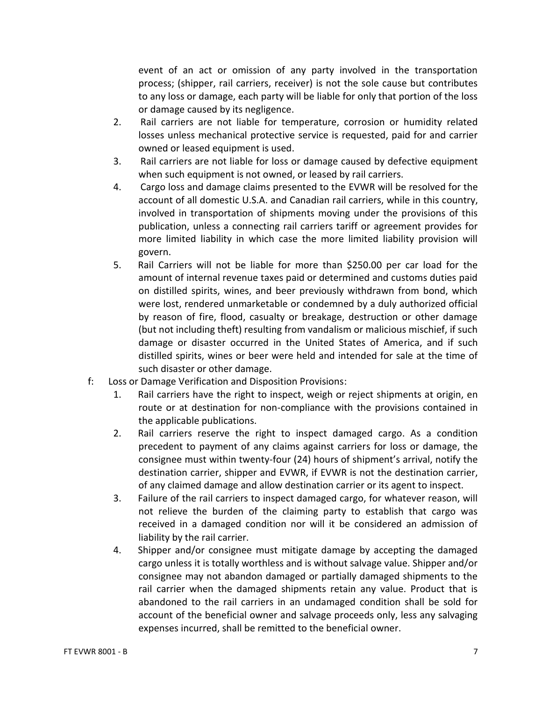event of an act or omission of any party involved in the transportation process; (shipper, rail carriers, receiver) is not the sole cause but contributes to any loss or damage, each party will be liable for only that portion of the loss or damage caused by its negligence.

- 2. Rail carriers are not liable for temperature, corrosion or humidity related losses unless mechanical protective service is requested, paid for and carrier owned or leased equipment is used.
- 3. Rail carriers are not liable for loss or damage caused by defective equipment when such equipment is not owned, or leased by rail carriers.
- 4. Cargo loss and damage claims presented to the EVWR will be resolved for the account of all domestic U.S.A. and Canadian rail carriers, while in this country, involved in transportation of shipments moving under the provisions of this publication, unless a connecting rail carriers tariff or agreement provides for more limited liability in which case the more limited liability provision will govern.
- 5. Rail Carriers will not be liable for more than \$250.00 per car load for the amount of internal revenue taxes paid or determined and customs duties paid on distilled spirits, wines, and beer previously withdrawn from bond, which were lost, rendered unmarketable or condemned by a duly authorized official by reason of fire, flood, casualty or breakage, destruction or other damage (but not including theft) resulting from vandalism or malicious mischief, if such damage or disaster occurred in the United States of America, and if such distilled spirits, wines or beer were held and intended for sale at the time of such disaster or other damage.
- f: Loss or Damage Verification and Disposition Provisions:
	- 1. Rail carriers have the right to inspect, weigh or reject shipments at origin, en route or at destination for non-compliance with the provisions contained in the applicable publications.
	- 2. Rail carriers reserve the right to inspect damaged cargo. As a condition precedent to payment of any claims against carriers for loss or damage, the consignee must within twenty-four (24) hours of shipment's arrival, notify the destination carrier, shipper and EVWR, if EVWR is not the destination carrier, of any claimed damage and allow destination carrier or its agent to inspect.
	- 3. Failure of the rail carriers to inspect damaged cargo, for whatever reason, will not relieve the burden of the claiming party to establish that cargo was received in a damaged condition nor will it be considered an admission of liability by the rail carrier.
	- 4. Shipper and/or consignee must mitigate damage by accepting the damaged cargo unless it is totally worthless and is without salvage value. Shipper and/or consignee may not abandon damaged or partially damaged shipments to the rail carrier when the damaged shipments retain any value. Product that is abandoned to the rail carriers in an undamaged condition shall be sold for account of the beneficial owner and salvage proceeds only, less any salvaging expenses incurred, shall be remitted to the beneficial owner.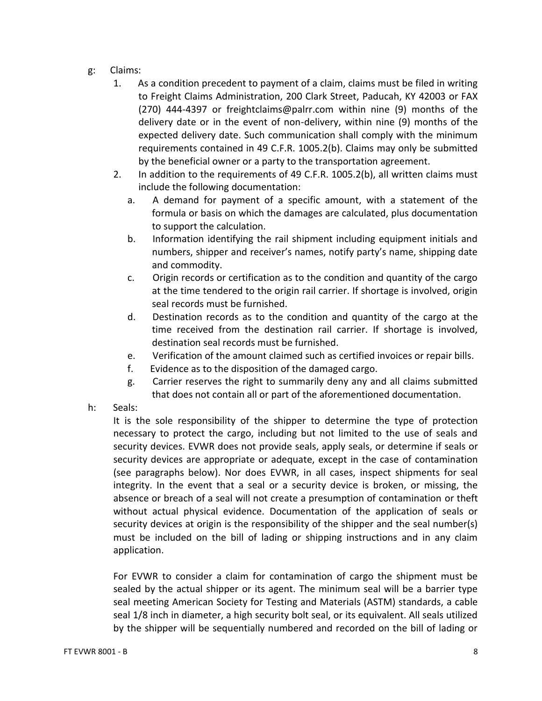- g: Claims:
	- 1. As a condition precedent to payment of a claim, claims must be filed in writing to Freight Claims Administration, 200 Clark Street, Paducah, KY 42003 or FAX (270) 444-4397 or freightclaims@palrr.com within nine (9) months of the delivery date or in the event of non-delivery, within nine (9) months of the expected delivery date. Such communication shall comply with the minimum requirements contained in 49 C.F.R. 1005.2(b). Claims may only be submitted by the beneficial owner or a party to the transportation agreement.
	- 2. In addition to the requirements of 49 C.F.R. 1005.2(b), all written claims must include the following documentation:
		- a. A demand for payment of a specific amount, with a statement of the formula or basis on which the damages are calculated, plus documentation to support the calculation.
		- b. Information identifying the rail shipment including equipment initials and numbers, shipper and receiver's names, notify party's name, shipping date and commodity.
		- c. Origin records or certification as to the condition and quantity of the cargo at the time tendered to the origin rail carrier. If shortage is involved, origin seal records must be furnished.
		- d. Destination records as to the condition and quantity of the cargo at the time received from the destination rail carrier. If shortage is involved, destination seal records must be furnished.
		- e. Verification of the amount claimed such as certified invoices or repair bills.
		- f. Evidence as to the disposition of the damaged cargo.
		- g. Carrier reserves the right to summarily deny any and all claims submitted that does not contain all or part of the aforementioned documentation.
- h: Seals:

It is the sole responsibility of the shipper to determine the type of protection necessary to protect the cargo, including but not limited to the use of seals and security devices. EVWR does not provide seals, apply seals, or determine if seals or security devices are appropriate or adequate, except in the case of contamination (see paragraphs below). Nor does EVWR, in all cases, inspect shipments for seal integrity. In the event that a seal or a security device is broken, or missing, the absence or breach of a seal will not create a presumption of contamination or theft without actual physical evidence. Documentation of the application of seals or security devices at origin is the responsibility of the shipper and the seal number(s) must be included on the bill of lading or shipping instructions and in any claim application.

For EVWR to consider a claim for contamination of cargo the shipment must be sealed by the actual shipper or its agent. The minimum seal will be a barrier type seal meeting American Society for Testing and Materials (ASTM) standards, a cable seal 1/8 inch in diameter, a high security bolt seal, or its equivalent. All seals utilized by the shipper will be sequentially numbered and recorded on the bill of lading or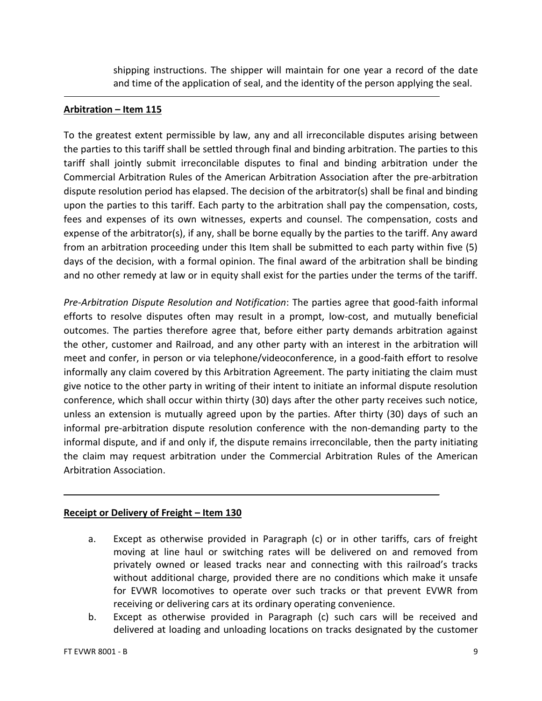shipping instructions. The shipper will maintain for one year a record of the date and time of the application of seal, and the identity of the person applying the seal.

# **Arbitration – Item 115**

To the greatest extent permissible by law, any and all irreconcilable disputes arising between the parties to this tariff shall be settled through final and binding arbitration. The parties to this tariff shall jointly submit irreconcilable disputes to final and binding arbitration under the Commercial Arbitration Rules of the American Arbitration Association after the pre-arbitration dispute resolution period has elapsed. The decision of the arbitrator(s) shall be final and binding upon the parties to this tariff. Each party to the arbitration shall pay the compensation, costs, fees and expenses of its own witnesses, experts and counsel. The compensation, costs and expense of the arbitrator(s), if any, shall be borne equally by the parties to the tariff. Any award from an arbitration proceeding under this Item shall be submitted to each party within five (5) days of the decision, with a formal opinion. The final award of the arbitration shall be binding and no other remedy at law or in equity shall exist for the parties under the terms of the tariff.

*Pre-Arbitration Dispute Resolution and Notification*: The parties agree that good-faith informal efforts to resolve disputes often may result in a prompt, low-cost, and mutually beneficial outcomes. The parties therefore agree that, before either party demands arbitration against the other, customer and Railroad, and any other party with an interest in the arbitration will meet and confer, in person or via telephone/videoconference, in a good-faith effort to resolve informally any claim covered by this Arbitration Agreement. The party initiating the claim must give notice to the other party in writing of their intent to initiate an informal dispute resolution conference, which shall occur within thirty (30) days after the other party receives such notice, unless an extension is mutually agreed upon by the parties. After thirty (30) days of such an informal pre-arbitration dispute resolution conference with the non-demanding party to the informal dispute, and if and only if, the dispute remains irreconcilable, then the party initiating the claim may request arbitration under the Commercial Arbitration Rules of the American Arbitration Association.

# **Receipt or Delivery of Freight – Item 130**

- a. Except as otherwise provided in Paragraph (c) or in other tariffs, cars of freight moving at line haul or switching rates will be delivered on and removed from privately owned or leased tracks near and connecting with this railroad's tracks without additional charge, provided there are no conditions which make it unsafe for EVWR locomotives to operate over such tracks or that prevent EVWR from receiving or delivering cars at its ordinary operating convenience.
- b. Except as otherwise provided in Paragraph (c) such cars will be received and delivered at loading and unloading locations on tracks designated by the customer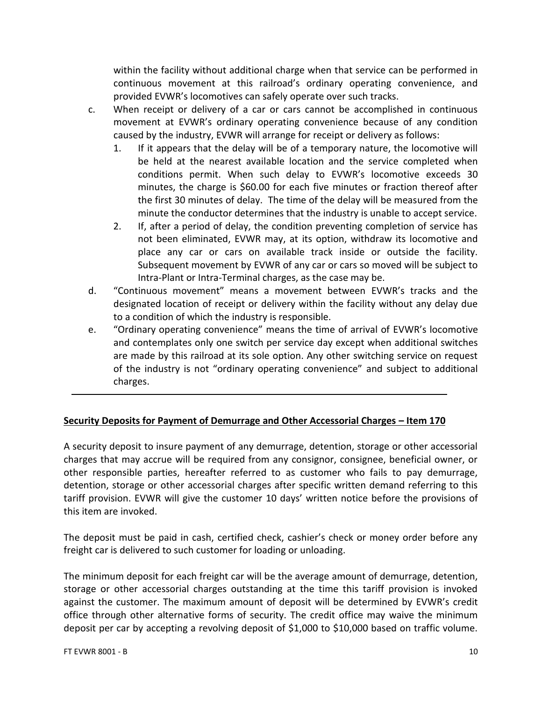within the facility without additional charge when that service can be performed in continuous movement at this railroad's ordinary operating convenience, and provided EVWR's locomotives can safely operate over such tracks.

- c. When receipt or delivery of a car or cars cannot be accomplished in continuous movement at EVWR's ordinary operating convenience because of any condition caused by the industry, EVWR will arrange for receipt or delivery as follows:
	- 1. If it appears that the delay will be of a temporary nature, the locomotive will be held at the nearest available location and the service completed when conditions permit. When such delay to EVWR's locomotive exceeds 30 minutes, the charge is \$60.00 for each five minutes or fraction thereof after the first 30 minutes of delay. The time of the delay will be measured from the minute the conductor determines that the industry is unable to accept service.
	- 2. If, after a period of delay, the condition preventing completion of service has not been eliminated, EVWR may, at its option, withdraw its locomotive and place any car or cars on available track inside or outside the facility. Subsequent movement by EVWR of any car or cars so moved will be subject to Intra-Plant or Intra-Terminal charges, as the case may be.
- d. "Continuous movement" means a movement between EVWR's tracks and the designated location of receipt or delivery within the facility without any delay due to a condition of which the industry is responsible.
- e. "Ordinary operating convenience" means the time of arrival of EVWR's locomotive and contemplates only one switch per service day except when additional switches are made by this railroad at its sole option. Any other switching service on request of the industry is not "ordinary operating convenience" and subject to additional charges.

# **Security Deposits for Payment of Demurrage and Other Accessorial Charges – Item 170**

A security deposit to insure payment of any demurrage, detention, storage or other accessorial charges that may accrue will be required from any consignor, consignee, beneficial owner, or other responsible parties, hereafter referred to as customer who fails to pay demurrage, detention, storage or other accessorial charges after specific written demand referring to this tariff provision. EVWR will give the customer 10 days' written notice before the provisions of this item are invoked.

The deposit must be paid in cash, certified check, cashier's check or money order before any freight car is delivered to such customer for loading or unloading.

The minimum deposit for each freight car will be the average amount of demurrage, detention, storage or other accessorial charges outstanding at the time this tariff provision is invoked against the customer. The maximum amount of deposit will be determined by EVWR's credit office through other alternative forms of security. The credit office may waive the minimum deposit per car by accepting a revolving deposit of \$1,000 to \$10,000 based on traffic volume.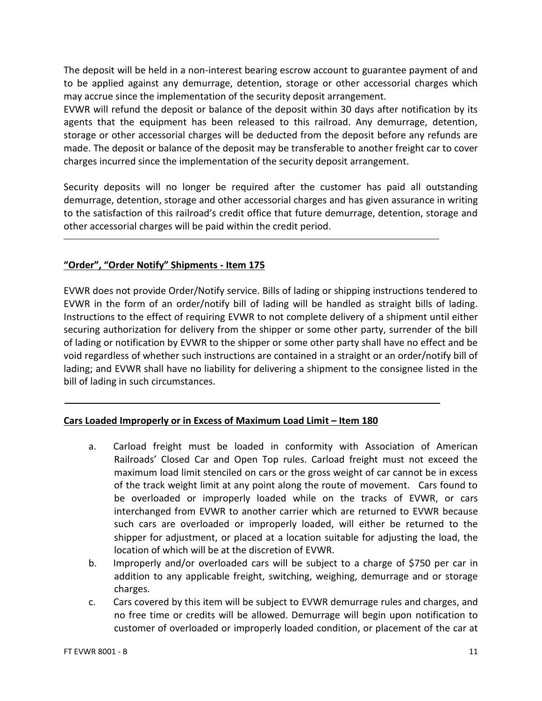The deposit will be held in a non-interest bearing escrow account to guarantee payment of and to be applied against any demurrage, detention, storage or other accessorial charges which may accrue since the implementation of the security deposit arrangement.

EVWR will refund the deposit or balance of the deposit within 30 days after notification by its agents that the equipment has been released to this railroad. Any demurrage, detention, storage or other accessorial charges will be deducted from the deposit before any refunds are made. The deposit or balance of the deposit may be transferable to another freight car to cover charges incurred since the implementation of the security deposit arrangement.

Security deposits will no longer be required after the customer has paid all outstanding demurrage, detention, storage and other accessorial charges and has given assurance in writing to the satisfaction of this railroad's credit office that future demurrage, detention, storage and other accessorial charges will be paid within the credit period.

# **"Order", "Order Notify" Shipments - Item 175**

EVWR does not provide Order/Notify service. Bills of lading or shipping instructions tendered to EVWR in the form of an order/notify bill of lading will be handled as straight bills of lading. Instructions to the effect of requiring EVWR to not complete delivery of a shipment until either securing authorization for delivery from the shipper or some other party, surrender of the bill of lading or notification by EVWR to the shipper or some other party shall have no effect and be void regardless of whether such instructions are contained in a straight or an order/notify bill of lading; and EVWR shall have no liability for delivering a shipment to the consignee listed in the bill of lading in such circumstances.

# **Cars Loaded Improperly or in Excess of Maximum Load Limit – Item 180**

- a. Carload freight must be loaded in conformity with Association of American Railroads' Closed Car and Open Top rules. Carload freight must not exceed the maximum load limit stenciled on cars or the gross weight of car cannot be in excess of the track weight limit at any point along the route of movement. Cars found to be overloaded or improperly loaded while on the tracks of EVWR, or cars interchanged from EVWR to another carrier which are returned to EVWR because such cars are overloaded or improperly loaded, will either be returned to the shipper for adjustment, or placed at a location suitable for adjusting the load, the location of which will be at the discretion of EVWR.
- b. Improperly and/or overloaded cars will be subject to a charge of \$750 per car in addition to any applicable freight, switching, weighing, demurrage and or storage charges.
- c. Cars covered by this item will be subject to EVWR demurrage rules and charges, and no free time or credits will be allowed. Demurrage will begin upon notification to customer of overloaded or improperly loaded condition, or placement of the car at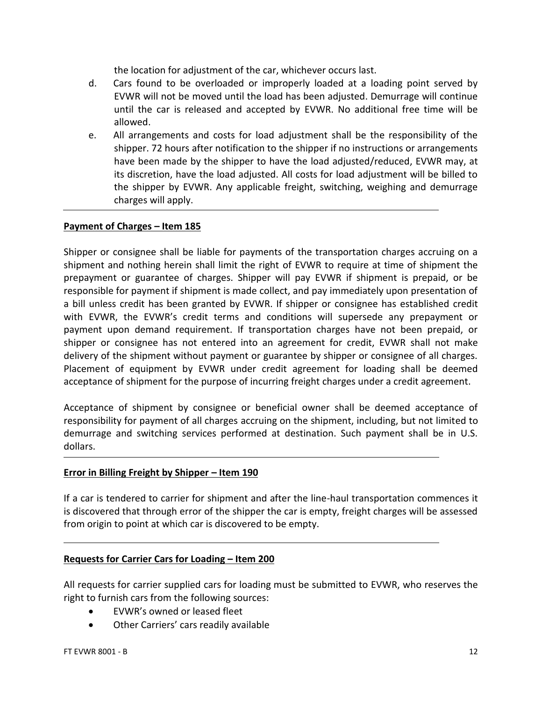the location for adjustment of the car, whichever occurs last.

- d. Cars found to be overloaded or improperly loaded at a loading point served by EVWR will not be moved until the load has been adjusted. Demurrage will continue until the car is released and accepted by EVWR. No additional free time will be allowed.
- e. All arrangements and costs for load adjustment shall be the responsibility of the shipper. 72 hours after notification to the shipper if no instructions or arrangements have been made by the shipper to have the load adjusted/reduced, EVWR may, at its discretion, have the load adjusted. All costs for load adjustment will be billed to the shipper by EVWR. Any applicable freight, switching, weighing and demurrage charges will apply.

#### **Payment of Charges – Item 185**

Shipper or consignee shall be liable for payments of the transportation charges accruing on a shipment and nothing herein shall limit the right of EVWR to require at time of shipment the prepayment or guarantee of charges. Shipper will pay EVWR if shipment is prepaid, or be responsible for payment if shipment is made collect, and pay immediately upon presentation of a bill unless credit has been granted by EVWR. If shipper or consignee has established credit with EVWR, the EVWR's credit terms and conditions will supersede any prepayment or payment upon demand requirement. If transportation charges have not been prepaid, or shipper or consignee has not entered into an agreement for credit, EVWR shall not make delivery of the shipment without payment or guarantee by shipper or consignee of all charges. Placement of equipment by EVWR under credit agreement for loading shall be deemed acceptance of shipment for the purpose of incurring freight charges under a credit agreement.

Acceptance of shipment by consignee or beneficial owner shall be deemed acceptance of responsibility for payment of all charges accruing on the shipment, including, but not limited to demurrage and switching services performed at destination. Such payment shall be in U.S. dollars.

#### **Error in Billing Freight by Shipper – Item 190**

If a car is tendered to carrier for shipment and after the line-haul transportation commences it is discovered that through error of the shipper the car is empty, freight charges will be assessed from origin to point at which car is discovered to be empty.

#### **Requests for Carrier Cars for Loading – Item 200**

All requests for carrier supplied cars for loading must be submitted to EVWR, who reserves the right to furnish cars from the following sources:

- EVWR's owned or leased fleet
- Other Carriers' cars readily available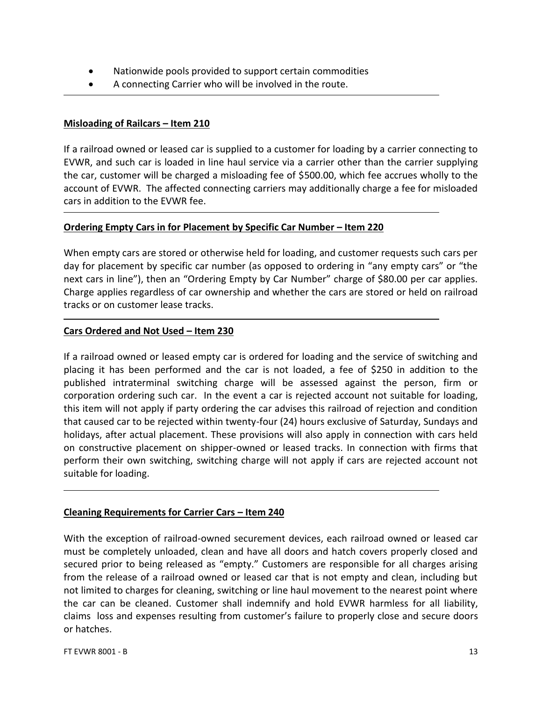- Nationwide pools provided to support certain commodities
- A connecting Carrier who will be involved in the route.

# **Misloading of Railcars – Item 210**

If a railroad owned or leased car is supplied to a customer for loading by a carrier connecting to EVWR, and such car is loaded in line haul service via a carrier other than the carrier supplying the car, customer will be charged a misloading fee of \$500.00, which fee accrues wholly to the account of EVWR. The affected connecting carriers may additionally charge a fee for misloaded cars in addition to the EVWR fee.

#### **Ordering Empty Cars in for Placement by Specific Car Number – Item 220**

When empty cars are stored or otherwise held for loading, and customer requests such cars per day for placement by specific car number (as opposed to ordering in "any empty cars" or "the next cars in line"), then an "Ordering Empty by Car Number" charge of \$80.00 per car applies. Charge applies regardless of car ownership and whether the cars are stored or held on railroad tracks or on customer lease tracks.

#### **Cars Ordered and Not Used – Item 230**

If a railroad owned or leased empty car is ordered for loading and the service of switching and placing it has been performed and the car is not loaded, a fee of \$250 in addition to the published intraterminal switching charge will be assessed against the person, firm or corporation ordering such car. In the event a car is rejected account not suitable for loading, this item will not apply if party ordering the car advises this railroad of rejection and condition that caused car to be rejected within twenty-four (24) hours exclusive of Saturday, Sundays and holidays, after actual placement. These provisions will also apply in connection with cars held on constructive placement on shipper-owned or leased tracks. In connection with firms that perform their own switching, switching charge will not apply if cars are rejected account not suitable for loading.

# **Cleaning Requirements for Carrier Cars – Item 240**

With the exception of railroad-owned securement devices, each railroad owned or leased car must be completely unloaded, clean and have all doors and hatch covers properly closed and secured prior to being released as "empty." Customers are responsible for all charges arising from the release of a railroad owned or leased car that is not empty and clean, including but not limited to charges for cleaning, switching or line haul movement to the nearest point where the car can be cleaned. Customer shall indemnify and hold EVWR harmless for all liability, claims loss and expenses resulting from customer's failure to properly close and secure doors or hatches.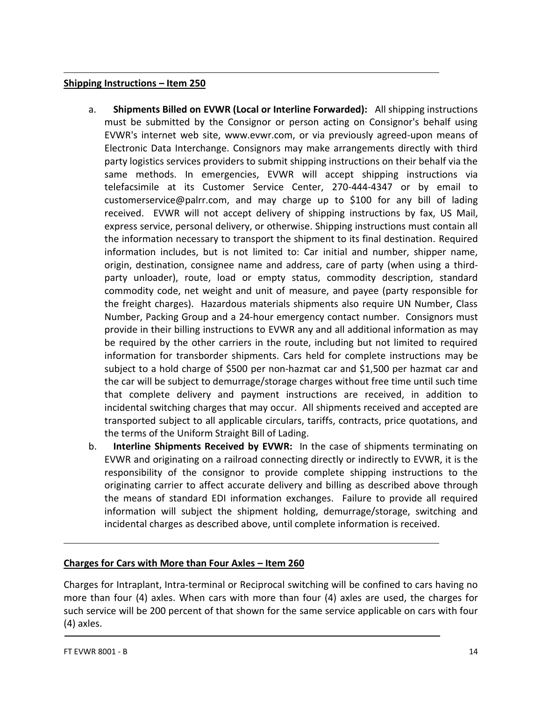# **Shipping Instructions – Item 250**

- a. **Shipments Billed on EVWR (Local or Interline Forwarded):** All shipping instructions must be submitted by the Consignor or person acting on Consignor's behalf using EVWR's internet web site, www.evwr.com, or via previously agreed-upon means of Electronic Data Interchange. Consignors may make arrangements directly with third party logistics services providers to submit shipping instructions on their behalf via the same methods. In emergencies, EVWR will accept shipping instructions via telefacsimile at its Customer Service Center, 270-444-4347 or by email to customerservice@palrr.com, and may charge up to \$100 for any bill of lading received. EVWR will not accept delivery of shipping instructions by fax, US Mail, express service, personal delivery, or otherwise. Shipping instructions must contain all the information necessary to transport the shipment to its final destination. Required information includes, but is not limited to: Car initial and number, shipper name, origin, destination, consignee name and address, care of party (when using a thirdparty unloader), route, load or empty status, commodity description, standard commodity code, net weight and unit of measure, and payee (party responsible for the freight charges). Hazardous materials shipments also require UN Number, Class Number, Packing Group and a 24-hour emergency contact number. Consignors must provide in their billing instructions to EVWR any and all additional information as may be required by the other carriers in the route, including but not limited to required information for transborder shipments. Cars held for complete instructions may be subject to a hold charge of \$500 per non-hazmat car and \$1,500 per hazmat car and the car will be subject to demurrage/storage charges without free time until such time that complete delivery and payment instructions are received, in addition to incidental switching charges that may occur. All shipments received and accepted are transported subject to all applicable circulars, tariffs, contracts, price quotations, and the terms of the Uniform Straight Bill of Lading.
- b. **Interline Shipments Received by EVWR:** In the case of shipments terminating on EVWR and originating on a railroad connecting directly or indirectly to EVWR, it is the responsibility of the consignor to provide complete shipping instructions to the originating carrier to affect accurate delivery and billing as described above through the means of standard EDI information exchanges. Failure to provide all required information will subject the shipment holding, demurrage/storage, switching and incidental charges as described above, until complete information is received.

# **Charges for Cars with More than Four Axles – Item 260**

Charges for Intraplant, Intra-terminal or Reciprocal switching will be confined to cars having no more than four (4) axles. When cars with more than four (4) axles are used, the charges for such service will be 200 percent of that shown for the same service applicable on cars with four (4) axles.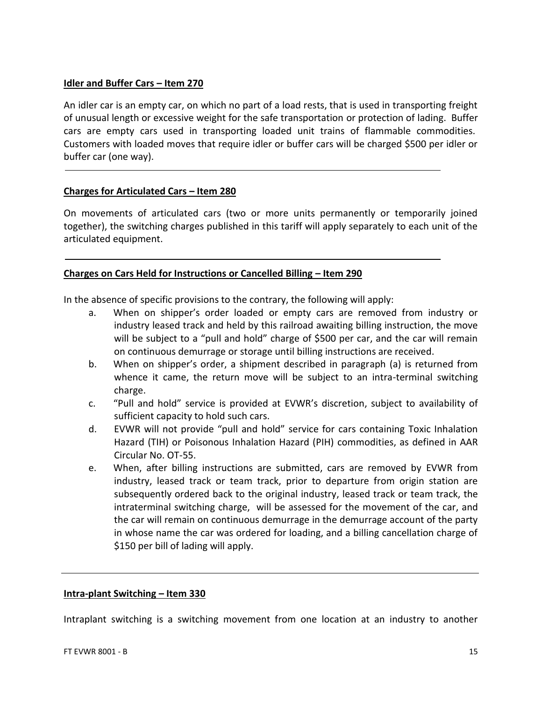# **Idler and Buffer Cars – Item 270**

An idler car is an empty car, on which no part of a load rests, that is used in transporting freight of unusual length or excessive weight for the safe transportation or protection of lading. Buffer cars are empty cars used in transporting loaded unit trains of flammable commodities. Customers with loaded moves that require idler or buffer cars will be charged \$500 per idler or buffer car (one way).

# **Charges for Articulated Cars – Item 280**

On movements of articulated cars (two or more units permanently or temporarily joined together), the switching charges published in this tariff will apply separately to each unit of the articulated equipment.

# **Charges on Cars Held for Instructions or Cancelled Billing – Item 290**

In the absence of specific provisions to the contrary, the following will apply:

- a. When on shipper's order loaded or empty cars are removed from industry or industry leased track and held by this railroad awaiting billing instruction, the move will be subject to a "pull and hold" charge of \$500 per car, and the car will remain on continuous demurrage or storage until billing instructions are received.
- b. When on shipper's order, a shipment described in paragraph (a) is returned from whence it came, the return move will be subject to an intra-terminal switching charge.
- c. "Pull and hold" service is provided at EVWR's discretion, subject to availability of sufficient capacity to hold such cars.
- d. EVWR will not provide "pull and hold" service for cars containing Toxic Inhalation Hazard (TIH) or Poisonous Inhalation Hazard (PIH) commodities, as defined in AAR Circular No. OT-55.
- e. When, after billing instructions are submitted, cars are removed by EVWR from industry, leased track or team track, prior to departure from origin station are subsequently ordered back to the original industry, leased track or team track, the intraterminal switching charge, will be assessed for the movement of the car, and the car will remain on continuous demurrage in the demurrage account of the party in whose name the car was ordered for loading, and a billing cancellation charge of \$150 per bill of lading will apply.

# **Intra-plant Switching – Item 330**

Intraplant switching is a switching movement from one location at an industry to another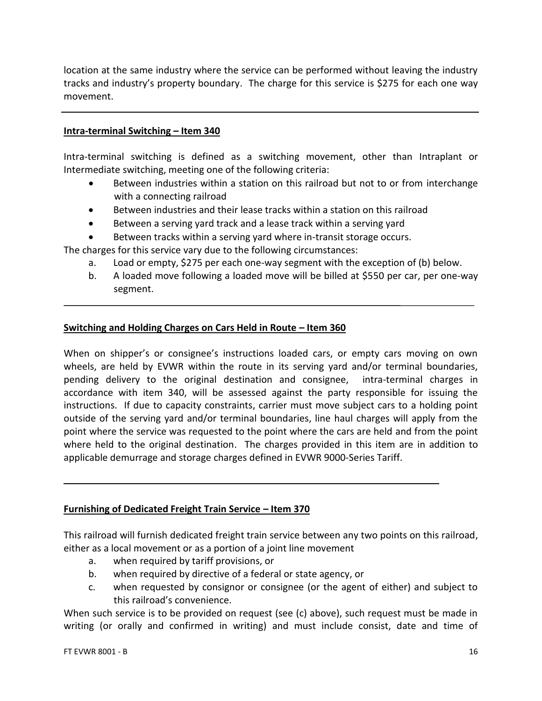location at the same industry where the service can be performed without leaving the industry tracks and industry's property boundary. The charge for this service is \$275 for each one way movement.

# **Intra-terminal Switching – Item 340**

Intra-terminal switching is defined as a switching movement, other than Intraplant or Intermediate switching, meeting one of the following criteria:

- Between industries within a station on this railroad but not to or from interchange with a connecting railroad
- Between industries and their lease tracks within a station on this railroad
- Between a serving yard track and a lease track within a serving yard
- Between tracks within a serving yard where in-transit storage occurs.

The charges for this service vary due to the following circumstances:

- a. Load or empty, \$275 per each one-way segment with the exception of (b) below.
- b. A loaded move following a loaded move will be billed at \$550 per car, per one-way segment.

#### **Switching and Holding Charges on Cars Held in Route – Item 360**

When on shipper's or consignee's instructions loaded cars, or empty cars moving on own wheels, are held by EVWR within the route in its serving yard and/or terminal boundaries, pending delivery to the original destination and consignee, intra-terminal charges in accordance with item 340, will be assessed against the party responsible for issuing the instructions. If due to capacity constraints, carrier must move subject cars to a holding point outside of the serving yard and/or terminal boundaries, line haul charges will apply from the point where the service was requested to the point where the cars are held and from the point where held to the original destination. The charges provided in this item are in addition to applicable demurrage and storage charges defined in EVWR 9000-Series Tariff.

# **Furnishing of Dedicated Freight Train Service – Item 370**

This railroad will furnish dedicated freight train service between any two points on this railroad, either as a local movement or as a portion of a joint line movement

- a. when required by tariff provisions, or
- b. when required by directive of a federal or state agency, or
- c. when requested by consignor or consignee (or the agent of either) and subject to this railroad's convenience.

When such service is to be provided on request (see (c) above), such request must be made in writing (or orally and confirmed in writing) and must include consist, date and time of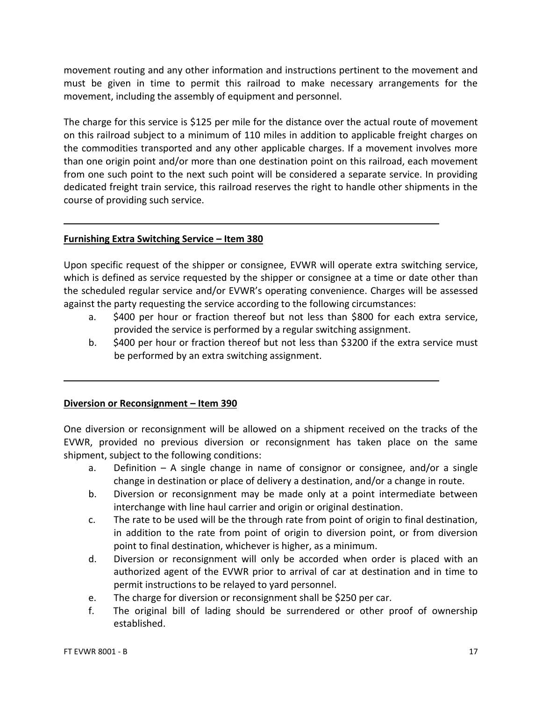movement routing and any other information and instructions pertinent to the movement and must be given in time to permit this railroad to make necessary arrangements for the movement, including the assembly of equipment and personnel.

The charge for this service is \$125 per mile for the distance over the actual route of movement on this railroad subject to a minimum of 110 miles in addition to applicable freight charges on the commodities transported and any other applicable charges. If a movement involves more than one origin point and/or more than one destination point on this railroad, each movement from one such point to the next such point will be considered a separate service. In providing dedicated freight train service, this railroad reserves the right to handle other shipments in the course of providing such service.

# **Furnishing Extra Switching Service – Item 380**

Upon specific request of the shipper or consignee, EVWR will operate extra switching service, which is defined as service requested by the shipper or consignee at a time or date other than the scheduled regular service and/or EVWR's operating convenience. Charges will be assessed against the party requesting the service according to the following circumstances:

- a. \$400 per hour or fraction thereof but not less than \$800 for each extra service, provided the service is performed by a regular switching assignment.
- b. \$400 per hour or fraction thereof but not less than \$3200 if the extra service must be performed by an extra switching assignment.

# **Diversion or Reconsignment – Item 390**

One diversion or reconsignment will be allowed on a shipment received on the tracks of the EVWR, provided no previous diversion or reconsignment has taken place on the same shipment, subject to the following conditions:

- a. Definition A single change in name of consignor or consignee, and/or a single change in destination or place of delivery a destination, and/or a change in route.
- b. Diversion or reconsignment may be made only at a point intermediate between interchange with line haul carrier and origin or original destination.
- c. The rate to be used will be the through rate from point of origin to final destination, in addition to the rate from point of origin to diversion point, or from diversion point to final destination, whichever is higher, as a minimum.
- d. Diversion or reconsignment will only be accorded when order is placed with an authorized agent of the EVWR prior to arrival of car at destination and in time to permit instructions to be relayed to yard personnel.
- e. The charge for diversion or reconsignment shall be \$250 per car.
- f. The original bill of lading should be surrendered or other proof of ownership established.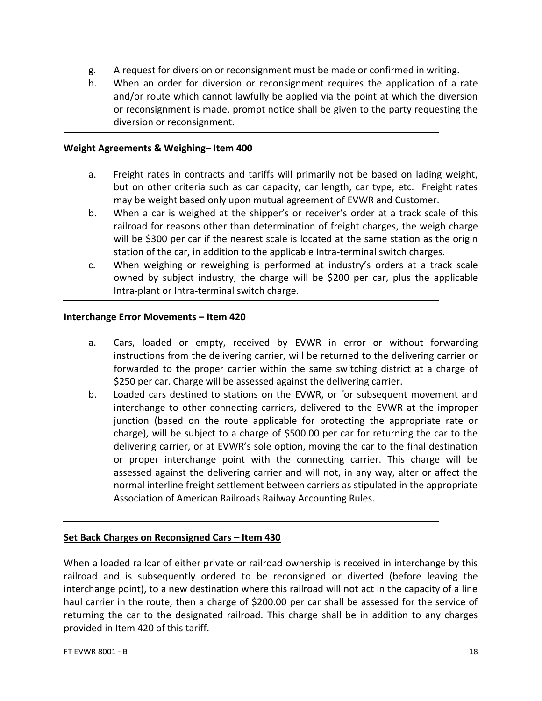- g. A request for diversion or reconsignment must be made or confirmed in writing.
- h. When an order for diversion or reconsignment requires the application of a rate and/or route which cannot lawfully be applied via the point at which the diversion or reconsignment is made, prompt notice shall be given to the party requesting the diversion or reconsignment.

# **Weight Agreements & Weighing– Item 400**

- a. Freight rates in contracts and tariffs will primarily not be based on lading weight, but on other criteria such as car capacity, car length, car type, etc. Freight rates may be weight based only upon mutual agreement of EVWR and Customer.
- b. When a car is weighed at the shipper's or receiver's order at a track scale of this railroad for reasons other than determination of freight charges, the weigh charge will be \$300 per car if the nearest scale is located at the same station as the origin station of the car, in addition to the applicable Intra-terminal switch charges.
- c. When weighing or reweighing is performed at industry's orders at a track scale owned by subject industry, the charge will be \$200 per car, plus the applicable Intra-plant or Intra-terminal switch charge.

# **Interchange Error Movements – Item 420**

- a. Cars, loaded or empty, received by EVWR in error or without forwarding instructions from the delivering carrier, will be returned to the delivering carrier or forwarded to the proper carrier within the same switching district at a charge of \$250 per car. Charge will be assessed against the delivering carrier.
- b. Loaded cars destined to stations on the EVWR, or for subsequent movement and interchange to other connecting carriers, delivered to the EVWR at the improper junction (based on the route applicable for protecting the appropriate rate or charge), will be subject to a charge of \$500.00 per car for returning the car to the delivering carrier, or at EVWR's sole option, moving the car to the final destination or proper interchange point with the connecting carrier. This charge will be assessed against the delivering carrier and will not, in any way, alter or affect the normal interline freight settlement between carriers as stipulated in the appropriate Association of American Railroads Railway Accounting Rules.

# **Set Back Charges on Reconsigned Cars – Item 430**

When a loaded railcar of either private or railroad ownership is received in interchange by this railroad and is subsequently ordered to be reconsigned or diverted (before leaving the interchange point), to a new destination where this railroad will not act in the capacity of a line haul carrier in the route, then a charge of \$200.00 per car shall be assessed for the service of returning the car to the designated railroad. This charge shall be in addition to any charges provided in Item 420 of this tariff.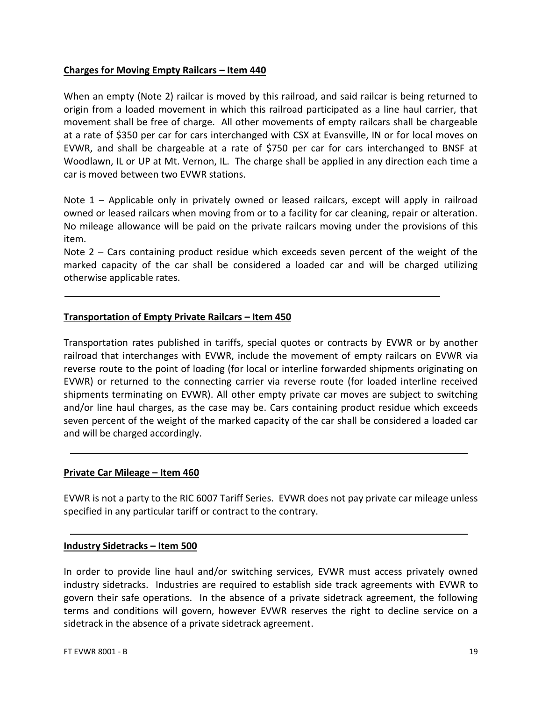# **Charges for Moving Empty Railcars – Item 440**

When an empty (Note 2) railcar is moved by this railroad, and said railcar is being returned to origin from a loaded movement in which this railroad participated as a line haul carrier, that movement shall be free of charge. All other movements of empty railcars shall be chargeable at a rate of \$350 per car for cars interchanged with CSX at Evansville, IN or for local moves on EVWR, and shall be chargeable at a rate of \$750 per car for cars interchanged to BNSF at Woodlawn, IL or UP at Mt. Vernon, IL. The charge shall be applied in any direction each time a car is moved between two EVWR stations.

Note 1 – Applicable only in privately owned or leased railcars, except will apply in railroad owned or leased railcars when moving from or to a facility for car cleaning, repair or alteration. No mileage allowance will be paid on the private railcars moving under the provisions of this item.

Note 2 – Cars containing product residue which exceeds seven percent of the weight of the marked capacity of the car shall be considered a loaded car and will be charged utilizing otherwise applicable rates.

# **Transportation of Empty Private Railcars – Item 450**

Transportation rates published in tariffs, special quotes or contracts by EVWR or by another railroad that interchanges with EVWR, include the movement of empty railcars on EVWR via reverse route to the point of loading (for local or interline forwarded shipments originating on EVWR) or returned to the connecting carrier via reverse route (for loaded interline received shipments terminating on EVWR). All other empty private car moves are subject to switching and/or line haul charges, as the case may be. Cars containing product residue which exceeds seven percent of the weight of the marked capacity of the car shall be considered a loaded car and will be charged accordingly.

#### **Private Car Mileage – Item 460**

EVWR is not a party to the RIC 6007 Tariff Series. EVWR does not pay private car mileage unless specified in any particular tariff or contract to the contrary.

#### **Industry Sidetracks – Item 500**

In order to provide line haul and/or switching services, EVWR must access privately owned industry sidetracks. Industries are required to establish side track agreements with EVWR to govern their safe operations. In the absence of a private sidetrack agreement, the following terms and conditions will govern, however EVWR reserves the right to decline service on a sidetrack in the absence of a private sidetrack agreement.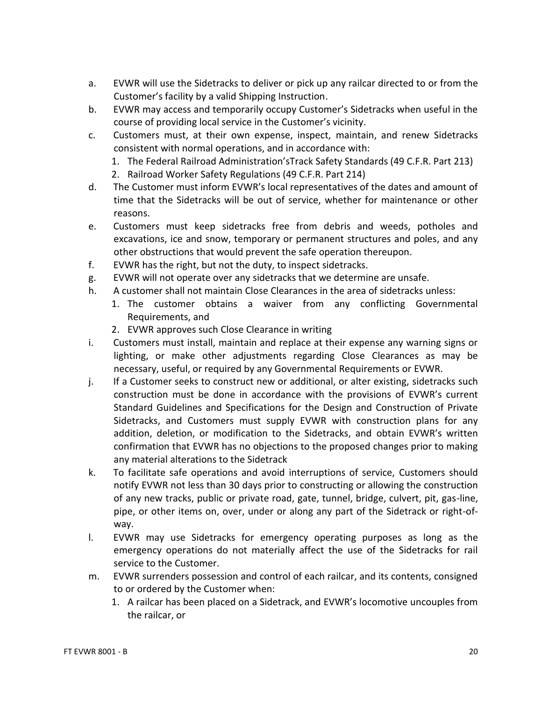- a. EVWR will use the Sidetracks to deliver or pick up any railcar directed to or from the Customer's facility by a valid Shipping Instruction.
- b. EVWR may access and temporarily occupy Customer's Sidetracks when useful in the course of providing local service in the Customer's vicinity.
- c. Customers must, at their own expense, inspect, maintain, and renew Sidetracks consistent with normal operations, and in accordance with:
	- 1. The Federal Railroad Administration'sTrack Safety Standards (49 C.F.R. Part 213)
	- 2. Railroad Worker Safety Regulations (49 C.F.R. Part 214)
- d. The Customer must inform EVWR's local representatives of the dates and amount of time that the Sidetracks will be out of service, whether for maintenance or other reasons.
- e. Customers must keep sidetracks free from debris and weeds, potholes and excavations, ice and snow, temporary or permanent structures and poles, and any other obstructions that would prevent the safe operation thereupon.
- f. EVWR has the right, but not the duty, to inspect sidetracks.
- g. EVWR will not operate over any sidetracks that we determine are unsafe.
- h. A customer shall not maintain Close Clearances in the area of sidetracks unless:
	- 1. The customer obtains a waiver from any conflicting Governmental Requirements, and
	- 2. EVWR approves such Close Clearance in writing
- i. Customers must install, maintain and replace at their expense any warning signs or lighting, or make other adjustments regarding Close Clearances as may be necessary, useful, or required by any Governmental Requirements or EVWR.
- j. If a Customer seeks to construct new or additional, or alter existing, sidetracks such construction must be done in accordance with the provisions of EVWR's current Standard Guidelines and Specifications for the Design and Construction of Private Sidetracks, and Customers must supply EVWR with construction plans for any addition, deletion, or modification to the Sidetracks, and obtain EVWR's written confirmation that EVWR has no objections to the proposed changes prior to making any material alterations to the Sidetrack
- k. To facilitate safe operations and avoid interruptions of service, Customers should notify EVWR not less than 30 days prior to constructing or allowing the construction of any new tracks, public or private road, gate, tunnel, bridge, culvert, pit, gas-line, pipe, or other items on, over, under or along any part of the Sidetrack or right-ofway.
- l. EVWR may use Sidetracks for emergency operating purposes as long as the emergency operations do not materially affect the use of the Sidetracks for rail service to the Customer.
- m. EVWR surrenders possession and control of each railcar, and its contents, consigned to or ordered by the Customer when:
	- 1. A railcar has been placed on a Sidetrack, and EVWR's locomotive uncouples from the railcar, or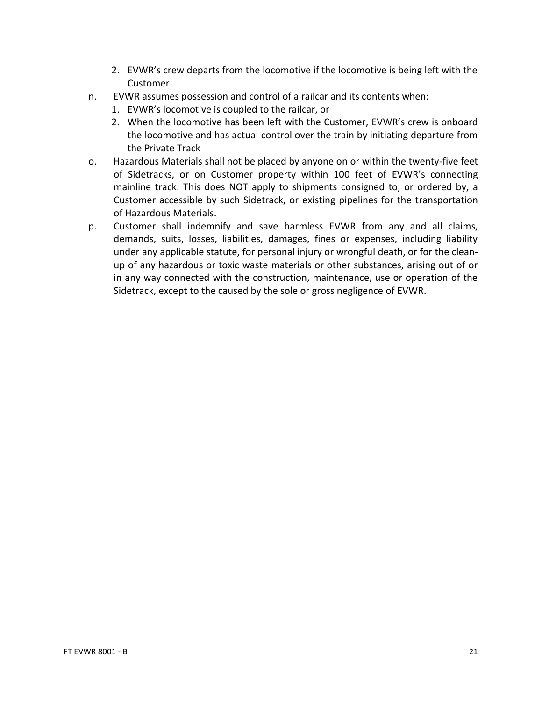- 2. EVWR's crew departs from the locomotive if the locomotive is being left with the Customer
- n. EVWR assumes possession and control of a railcar and its contents when:
	- 1. EVWR's locomotive is coupled to the railcar, or
	- 2. When the locomotive has been left with the Customer, EVWR's crew is onboard the locomotive and has actual control over the train by initiating departure from the Private Track
- o. Hazardous Materials shall not be placed by anyone on or within the twenty-five feet of Sidetracks, or on Customer property within 100 feet of EVWR's connecting mainline track. This does NOT apply to shipments consigned to, or ordered by, a Customer accessible by such Sidetrack, or existing pipelines for the transportation of Hazardous Materials.
- p. Customer shall indemnify and save harmless EVWR from any and all claims, demands, suits, losses, liabilities, damages, fines or expenses, including liability under any applicable statute, for personal injury or wrongful death, or for the cleanup of any hazardous or toxic waste materials or other substances, arising out of or in any way connected with the construction, maintenance, use or operation of the Sidetrack, except to the caused by the sole or gross negligence of EVWR.